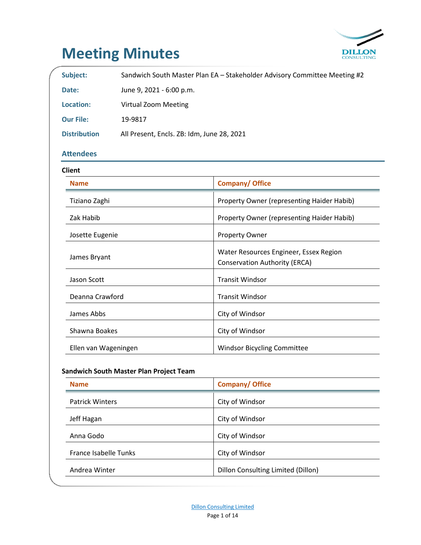

# **Meeting Minutes**

| Subject:               |                                            | Sandwich South Master Plan EA - Stakeholder Advisory Committee Meeting #2      |
|------------------------|--------------------------------------------|--------------------------------------------------------------------------------|
| Date:                  | June 9, 2021 - 6:00 p.m.                   |                                                                                |
| <b>Location:</b>       | <b>Virtual Zoom Meeting</b>                |                                                                                |
| <b>Our File:</b>       | 19-9817                                    |                                                                                |
| <b>Distribution</b>    | All Present, Encls. ZB: Idm, June 28, 2021 |                                                                                |
| <b>Attendees</b>       |                                            |                                                                                |
| <b>Client</b>          |                                            |                                                                                |
| <b>Name</b>            |                                            | <b>Company/ Office</b>                                                         |
| Tiziano Zaghi          |                                            | Property Owner (representing Haider Habib)                                     |
| Zak Habib              |                                            | Property Owner (representing Haider Habib)                                     |
| Josette Eugenie        |                                            | Property Owner                                                                 |
| James Bryant           |                                            | Water Resources Engineer, Essex Region<br><b>Conservation Authority (ERCA)</b> |
| Jason Scott            |                                            | <b>Transit Windsor</b>                                                         |
| Deanna Crawford        |                                            | <b>Transit Windsor</b>                                                         |
| James Abbs             |                                            | City of Windsor                                                                |
| Shawna Boakes          |                                            | City of Windsor                                                                |
| Ellen van Wageningen   |                                            | Windsor Bicycling Committee                                                    |
|                        | Sandwich South Master Plan Project Team    |                                                                                |
| <b>Name</b>            |                                            | <b>Company/ Office</b>                                                         |
| <b>Patrick Winters</b> |                                            | City of Windsor                                                                |
| Jeff Hagan             |                                            | City of Windsor                                                                |
|                        |                                            |                                                                                |

Anna Godo **City of Windsor** 

France Isabelle Tunks City of Windsor

Andrea Winter **Dillon Consulting Limited (Dillon)**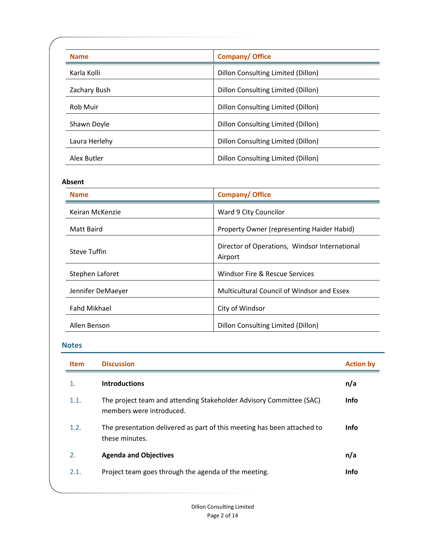| <b>Name</b>     | <b>Company/ Office</b>             |
|-----------------|------------------------------------|
| Karla Kolli     | Dillon Consulting Limited (Dillon) |
| Zachary Bush    | Dillon Consulting Limited (Dillon) |
| <b>Rob Muir</b> | Dillon Consulting Limited (Dillon) |
| Shawn Doyle     | Dillon Consulting Limited (Dillon) |
| Laura Herlehy   | Dillon Consulting Limited (Dillon) |
| Alex Butler     | Dillon Consulting Limited (Dillon) |

# **Absent**

| <b>Name</b>         | <b>Company/ Office</b>                                   |
|---------------------|----------------------------------------------------------|
| Keiran McKenzie     | Ward 9 City Councilor                                    |
| Matt Baird          | Property Owner (representing Haider Habid)               |
| <b>Steve Tuffin</b> | Director of Operations, Windsor International<br>Airport |
| Stephen Laforet     | Windsor Fire & Rescue Services                           |
| Jennifer DeMaeyer   | Multicultural Council of Windsor and Essex               |
| <b>Fahd Mikhael</b> | City of Windsor                                          |
| Allen Benson        | Dillon Consulting Limited (Dillon)                       |

# **Notes**

| <b>Item</b> | <b>Discussion</b>                                                                               | <b>Action by</b> |
|-------------|-------------------------------------------------------------------------------------------------|------------------|
| 1.          | <b>Introductions</b>                                                                            | n/a              |
| 1.1.        | The project team and attending Stakeholder Advisory Committee (SAC)<br>members were introduced. | <b>Info</b>      |
| 1.2.        | The presentation delivered as part of this meeting has been attached to<br>these minutes.       | <b>Info</b>      |
| 2.          | <b>Agenda and Objectives</b>                                                                    | n/a              |
| 2.1.        | Project team goes through the agenda of the meeting.                                            | <b>Info</b>      |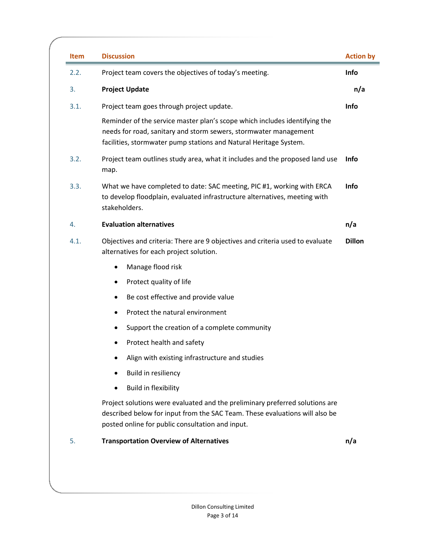| <b>Item</b> | <b>Discussion</b>                                                                                                                                                                                                   | <b>Action by</b> |
|-------------|---------------------------------------------------------------------------------------------------------------------------------------------------------------------------------------------------------------------|------------------|
| 2.2.        | Project team covers the objectives of today's meeting.                                                                                                                                                              | Info             |
| 3.          | <b>Project Update</b>                                                                                                                                                                                               | n/a              |
| 3.1.        | Project team goes through project update.                                                                                                                                                                           | Info             |
|             | Reminder of the service master plan's scope which includes identifying the<br>needs for road, sanitary and storm sewers, stormwater management<br>facilities, stormwater pump stations and Natural Heritage System. |                  |
| 3.2.        | Project team outlines study area, what it includes and the proposed land use<br>map.                                                                                                                                | <b>Info</b>      |
| 3.3.        | What we have completed to date: SAC meeting, PIC #1, working with ERCA<br>to develop floodplain, evaluated infrastructure alternatives, meeting with<br>stakeholders.                                               | Info             |
| 4.          | <b>Evaluation alternatives</b>                                                                                                                                                                                      | n/a              |
| 4.1.        | Objectives and criteria: There are 9 objectives and criteria used to evaluate<br>alternatives for each project solution.                                                                                            | <b>Dillon</b>    |
|             | Manage flood risk                                                                                                                                                                                                   |                  |
|             | Protect quality of life<br>٠                                                                                                                                                                                        |                  |
|             | Be cost effective and provide value<br>٠                                                                                                                                                                            |                  |
|             | Protect the natural environment<br>٠                                                                                                                                                                                |                  |
|             | Support the creation of a complete community<br>٠                                                                                                                                                                   |                  |
|             | Protect health and safety                                                                                                                                                                                           |                  |
|             | Align with existing infrastructure and studies                                                                                                                                                                      |                  |
|             | Build in resiliency                                                                                                                                                                                                 |                  |
|             | <b>Build in flexibility</b>                                                                                                                                                                                         |                  |
|             | Project solutions were evaluated and the preliminary preferred solutions are<br>described below for input from the SAC Team. These evaluations will also be<br>posted online for public consultation and input.     |                  |
|             | <b>Transportation Overview of Alternatives</b>                                                                                                                                                                      | n/a              |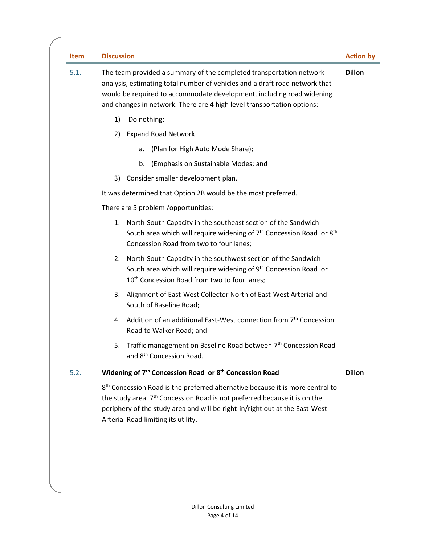| <b>Item</b> | <b>Discussion</b>                                                                                                                                                                                                                                                                                         | <b>Action by</b> |
|-------------|-----------------------------------------------------------------------------------------------------------------------------------------------------------------------------------------------------------------------------------------------------------------------------------------------------------|------------------|
| 5.1.        | The team provided a summary of the completed transportation network<br>analysis, estimating total number of vehicles and a draft road network that<br>would be required to accommodate development, including road widening<br>and changes in network. There are 4 high level transportation options:     | <b>Dillon</b>    |
|             | 1)<br>Do nothing;                                                                                                                                                                                                                                                                                         |                  |
|             | <b>Expand Road Network</b><br>2)                                                                                                                                                                                                                                                                          |                  |
|             | (Plan for High Auto Mode Share);<br>а.                                                                                                                                                                                                                                                                    |                  |
|             | (Emphasis on Sustainable Modes; and<br>b.                                                                                                                                                                                                                                                                 |                  |
|             | Consider smaller development plan.<br>3)                                                                                                                                                                                                                                                                  |                  |
|             | It was determined that Option 2B would be the most preferred.                                                                                                                                                                                                                                             |                  |
|             | There are 5 problem /opportunities:                                                                                                                                                                                                                                                                       |                  |
|             | North-South Capacity in the southeast section of the Sandwich<br>1.<br>South area which will require widening of $7th$ Concession Road or $8th$<br>Concession Road from two to four lanes;                                                                                                                |                  |
|             | North-South Capacity in the southwest section of the Sandwich<br>2.<br>South area which will require widening of 9 <sup>th</sup> Concession Road or<br>10 <sup>th</sup> Concession Road from two to four lanes;                                                                                           |                  |
|             | Alignment of East-West Collector North of East-West Arterial and<br>3.<br>South of Baseline Road;                                                                                                                                                                                                         |                  |
|             | Addition of an additional East-West connection from 7 <sup>th</sup> Concession<br>4.<br>Road to Walker Road; and                                                                                                                                                                                          |                  |
|             | Traffic management on Baseline Road between 7 <sup>th</sup> Concession Road<br>5.<br>and 8 <sup>th</sup> Concession Road.                                                                                                                                                                                 |                  |
| 5.2.        | Widening of 7 <sup>th</sup> Concession Road or 8 <sup>th</sup> Concession Road                                                                                                                                                                                                                            | <b>Dillon</b>    |
|             | 8 <sup>th</sup> Concession Road is the preferred alternative because it is more central to<br>the study area. 7 <sup>th</sup> Concession Road is not preferred because it is on the<br>periphery of the study area and will be right-in/right out at the East-West<br>Arterial Road limiting its utility. |                  |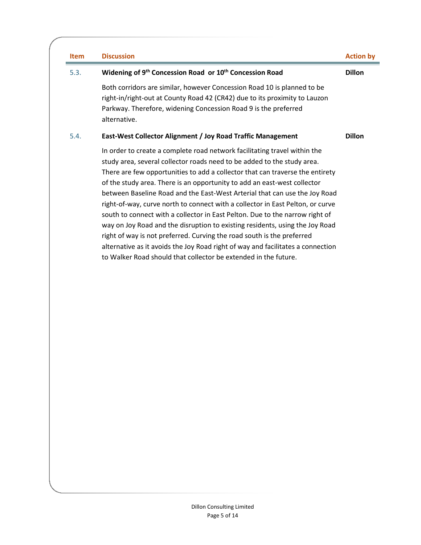| <b>Item</b> | <b>Discussion</b>                                                                                                                                                                                                                                                                                                                                                                                                                                                                                                                                                                                                                                                                                                                                                                                                                                                                 | <b>Action by</b> |
|-------------|-----------------------------------------------------------------------------------------------------------------------------------------------------------------------------------------------------------------------------------------------------------------------------------------------------------------------------------------------------------------------------------------------------------------------------------------------------------------------------------------------------------------------------------------------------------------------------------------------------------------------------------------------------------------------------------------------------------------------------------------------------------------------------------------------------------------------------------------------------------------------------------|------------------|
| 5.3.        | Widening of 9 <sup>th</sup> Concession Road or 10 <sup>th</sup> Concession Road                                                                                                                                                                                                                                                                                                                                                                                                                                                                                                                                                                                                                                                                                                                                                                                                   | <b>Dillon</b>    |
|             | Both corridors are similar, however Concession Road 10 is planned to be<br>right-in/right-out at County Road 42 (CR42) due to its proximity to Lauzon<br>Parkway. Therefore, widening Concession Road 9 is the preferred<br>alternative.                                                                                                                                                                                                                                                                                                                                                                                                                                                                                                                                                                                                                                          |                  |
| 5.4.        | East-West Collector Alignment / Joy Road Traffic Management                                                                                                                                                                                                                                                                                                                                                                                                                                                                                                                                                                                                                                                                                                                                                                                                                       | <b>Dillon</b>    |
|             | In order to create a complete road network facilitating travel within the<br>study area, several collector roads need to be added to the study area.<br>There are few opportunities to add a collector that can traverse the entirety<br>of the study area. There is an opportunity to add an east-west collector<br>between Baseline Road and the East-West Arterial that can use the Joy Road<br>right-of-way, curve north to connect with a collector in East Pelton, or curve<br>south to connect with a collector in East Pelton. Due to the narrow right of<br>way on Joy Road and the disruption to existing residents, using the Joy Road<br>right of way is not preferred. Curving the road south is the preferred<br>alternative as it avoids the Joy Road right of way and facilitates a connection<br>to Walker Road should that collector be extended in the future. |                  |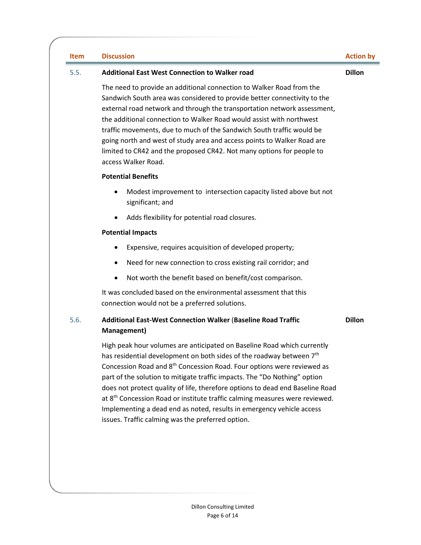#### **Item Discussion Action by**

### 5.5. **Additional East West Connection to Walker road**

**Dillon**

The need to provide an additional connection to Walker Road from the Sandwich South area was considered to provide better connectivity to the external road network and through the transportation network assessment, the additional connection to Walker Road would assist with northwest traffic movements, due to much of the Sandwich South traffic would be going north and west of study area and access points to Walker Road are limited to CR42 and the proposed CR42. Not many options for people to access Walker Road.

### **Potential Benefits**

- Modest improvement to intersection capacity listed above but not significant; and
- Adds flexibility for potential road closures.

# **Potential Impacts**

- Expensive, requires acquisition of developed property;
- Need for new connection to cross existing rail corridor; and
- Not worth the benefit based on benefit/cost comparison.

It was concluded based on the environmental assessment that this connection would not be a preferred solutions.

# 5.6. **Additional East-West Connection Walker** (**Baseline Road Traffic Management)**

**Dillon**

High peak hour volumes are anticipated on Baseline Road which currently has residential development on both sides of the roadway between 7<sup>th</sup> Concession Road and 8th Concession Road. Four options were reviewed as part of the solution to mitigate traffic impacts. The "Do Nothing" option does not protect quality of life, therefore options to dead end Baseline Road at 8<sup>th</sup> Concession Road or institute traffic calming measures were reviewed. Implementing a dead end as noted, results in emergency vehicle access issues. Traffic calming was the preferred option.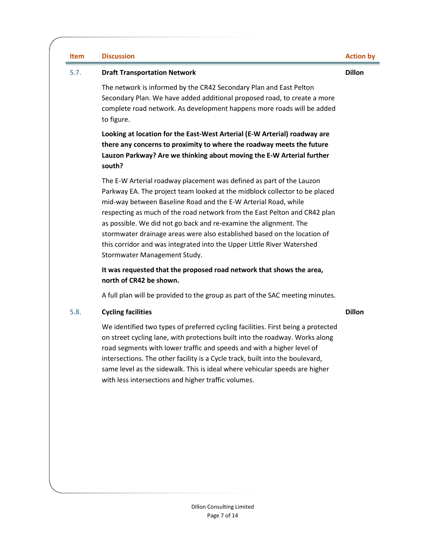#### **Item Discussion Action by**

**Dillon**

#### 5.7. **Draft Transportation Network**

The network is informed by the CR42 Secondary Plan and East Pelton Secondary Plan. We have added additional proposed road, to create a more complete road network. As development happens more roads will be added to figure.

**Looking at location for the East-West Arterial (E-W Arterial) roadway are there any concerns to proximity to where the roadway meets the future Lauzon Parkway? Are we thinking about moving the E-W Arterial further south?**

The E-W Arterial roadway placement was defined as part of the Lauzon Parkway EA. The project team looked at the midblock collector to be placed mid-way between Baseline Road and the E-W Arterial Road, while respecting as much of the road network from the East Pelton and CR42 plan as possible. We did not go back and re-examine the alignment. The stormwater drainage areas were also established based on the location of this corridor and was integrated into the Upper Little River Watershed Stormwater Management Study.

# **It was requested that the proposed road network that shows the area, north of CR42 be shown.**

A full plan will be provided to the group as part of the SAC meeting minutes.

# 5.8. **Cycling facilities**

**Dillon**

We identified two types of preferred cycling facilities. First being a protected on street cycling lane, with protections built into the roadway. Works along road segments with lower traffic and speeds and with a higher level of intersections. The other facility is a Cycle track, built into the boulevard, same level as the sidewalk. This is ideal where vehicular speeds are higher with less intersections and higher traffic volumes.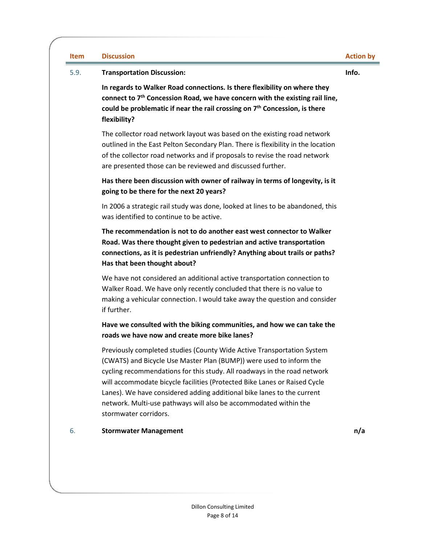| <b>Item</b> | <b>Discussion</b>                                                                                                                                                                                                                                                                                                                                                                                                                                                             | <b>Action by</b> |
|-------------|-------------------------------------------------------------------------------------------------------------------------------------------------------------------------------------------------------------------------------------------------------------------------------------------------------------------------------------------------------------------------------------------------------------------------------------------------------------------------------|------------------|
| 5.9.        | <b>Transportation Discussion:</b>                                                                                                                                                                                                                                                                                                                                                                                                                                             | Info.            |
|             | In regards to Walker Road connections. Is there flexibility on where they<br>connect to 7 <sup>th</sup> Concession Road, we have concern with the existing rail line,<br>could be problematic if near the rail crossing on $7th$ Concession, is there<br>flexibility?                                                                                                                                                                                                         |                  |
|             | The collector road network layout was based on the existing road network<br>outlined in the East Pelton Secondary Plan. There is flexibility in the location<br>of the collector road networks and if proposals to revise the road network<br>are presented those can be reviewed and discussed further.                                                                                                                                                                      |                  |
|             | Has there been discussion with owner of railway in terms of longevity, is it<br>going to be there for the next 20 years?                                                                                                                                                                                                                                                                                                                                                      |                  |
|             | In 2006 a strategic rail study was done, looked at lines to be abandoned, this<br>was identified to continue to be active.                                                                                                                                                                                                                                                                                                                                                    |                  |
|             | The recommendation is not to do another east west connector to Walker<br>Road. Was there thought given to pedestrian and active transportation<br>connections, as it is pedestrian unfriendly? Anything about trails or paths?<br>Has that been thought about?                                                                                                                                                                                                                |                  |
|             | We have not considered an additional active transportation connection to<br>Walker Road. We have only recently concluded that there is no value to<br>making a vehicular connection. I would take away the question and consider<br>if further.                                                                                                                                                                                                                               |                  |
|             | Have we consulted with the biking communities, and how we can take the<br>roads we have now and create more bike lanes?                                                                                                                                                                                                                                                                                                                                                       |                  |
|             | Previously completed studies (County Wide Active Transportation System<br>(CWATS) and Bicycle Use Master Plan (BUMP)) were used to inform the<br>cycling recommendations for this study. All roadways in the road network<br>will accommodate bicycle facilities (Protected Bike Lanes or Raised Cycle<br>Lanes). We have considered adding additional bike lanes to the current<br>network. Multi-use pathways will also be accommodated within the<br>stormwater corridors. |                  |
| 6.          | <b>Stormwater Management</b>                                                                                                                                                                                                                                                                                                                                                                                                                                                  | n/a              |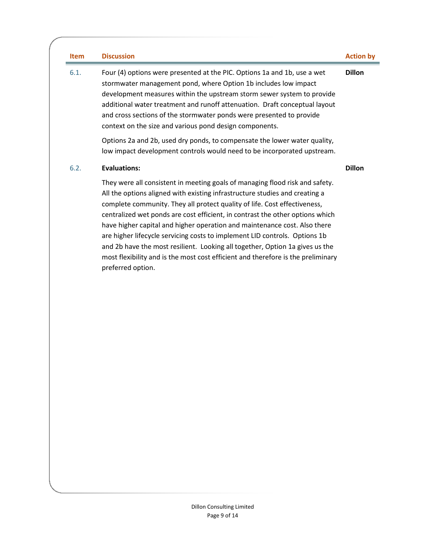| Item | <b>Discussion</b>                                                                                                                                                                                                                                                                                                                                                                                                                                                                                                                                                                                                                                                             | <b>Action by</b> |
|------|-------------------------------------------------------------------------------------------------------------------------------------------------------------------------------------------------------------------------------------------------------------------------------------------------------------------------------------------------------------------------------------------------------------------------------------------------------------------------------------------------------------------------------------------------------------------------------------------------------------------------------------------------------------------------------|------------------|
| 6.1. | Four (4) options were presented at the PIC. Options 1a and 1b, use a wet<br>stormwater management pond, where Option 1b includes low impact<br>development measures within the upstream storm sewer system to provide<br>additional water treatment and runoff attenuation. Draft conceptual layout<br>and cross sections of the stormwater ponds were presented to provide<br>context on the size and various pond design components.                                                                                                                                                                                                                                        | <b>Dillon</b>    |
|      | Options 2a and 2b, used dry ponds, to compensate the lower water quality,<br>low impact development controls would need to be incorporated upstream.                                                                                                                                                                                                                                                                                                                                                                                                                                                                                                                          |                  |
| 6.2. | <b>Evaluations:</b>                                                                                                                                                                                                                                                                                                                                                                                                                                                                                                                                                                                                                                                           | <b>Dillon</b>    |
|      | They were all consistent in meeting goals of managing flood risk and safety.<br>All the options aligned with existing infrastructure studies and creating a<br>complete community. They all protect quality of life. Cost effectiveness,<br>centralized wet ponds are cost efficient, in contrast the other options which<br>have higher capital and higher operation and maintenance cost. Also there<br>are higher lifecycle servicing costs to implement LID controls. Options 1b<br>and 2b have the most resilient. Looking all together, Option 1a gives us the<br>most flexibility and is the most cost efficient and therefore is the preliminary<br>preferred option. |                  |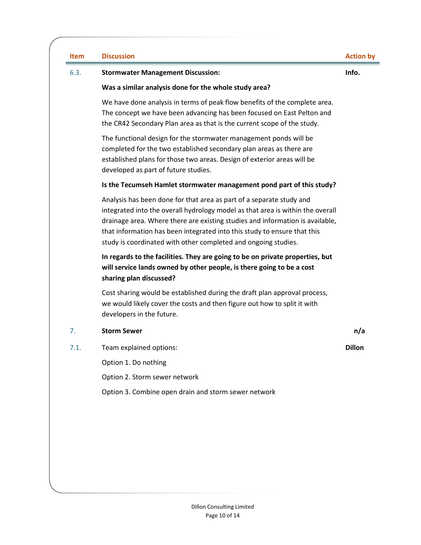| <b>Item</b> | <b>Discussion</b>                                                                                                                                                                                                                                                                                                                                                                     | <b>Action by</b> |
|-------------|---------------------------------------------------------------------------------------------------------------------------------------------------------------------------------------------------------------------------------------------------------------------------------------------------------------------------------------------------------------------------------------|------------------|
| 6.3.        | <b>Stormwater Management Discussion:</b>                                                                                                                                                                                                                                                                                                                                              | Info.            |
|             | Was a similar analysis done for the whole study area?                                                                                                                                                                                                                                                                                                                                 |                  |
|             | We have done analysis in terms of peak flow benefits of the complete area.<br>The concept we have been advancing has been focused on East Pelton and<br>the CR42 Secondary Plan area as that is the current scope of the study.                                                                                                                                                       |                  |
|             | The functional design for the stormwater management ponds will be<br>completed for the two established secondary plan areas as there are<br>established plans for those two areas. Design of exterior areas will be<br>developed as part of future studies.                                                                                                                           |                  |
|             | Is the Tecumseh Hamlet stormwater management pond part of this study?                                                                                                                                                                                                                                                                                                                 |                  |
|             | Analysis has been done for that area as part of a separate study and<br>integrated into the overall hydrology model as that area is within the overall<br>drainage area. Where there are existing studies and information is available,<br>that information has been integrated into this study to ensure that this<br>study is coordinated with other completed and ongoing studies. |                  |
|             | In regards to the facilities. They are going to be on private properties, but<br>will service lands owned by other people, is there going to be a cost<br>sharing plan discussed?                                                                                                                                                                                                     |                  |
|             | Cost sharing would be established during the draft plan approval process,<br>we would likely cover the costs and then figure out how to split it with<br>developers in the future.                                                                                                                                                                                                    |                  |
| 7.          | <b>Storm Sewer</b>                                                                                                                                                                                                                                                                                                                                                                    | n/a              |
| 7.1.        | Team explained options:                                                                                                                                                                                                                                                                                                                                                               | <b>Dillon</b>    |
|             | Option 1. Do nothing                                                                                                                                                                                                                                                                                                                                                                  |                  |
|             | Option 2. Storm sewer network                                                                                                                                                                                                                                                                                                                                                         |                  |
|             | Option 3. Combine open drain and storm sewer network                                                                                                                                                                                                                                                                                                                                  |                  |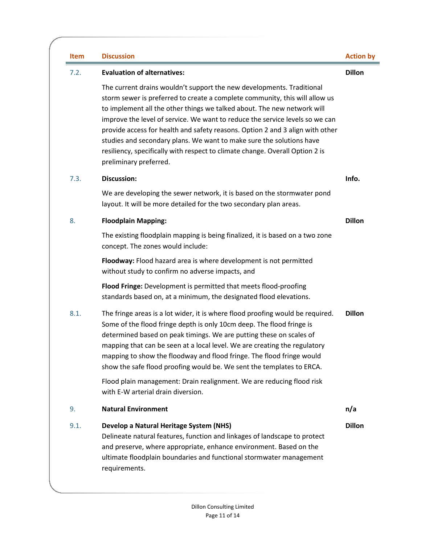| Item | <b>Discussion</b>                                                                                                                                                                                                                                                                                                                                                                                                                                                                                                                                                                  | <b>Action by</b> |
|------|------------------------------------------------------------------------------------------------------------------------------------------------------------------------------------------------------------------------------------------------------------------------------------------------------------------------------------------------------------------------------------------------------------------------------------------------------------------------------------------------------------------------------------------------------------------------------------|------------------|
| 7.2. | <b>Evaluation of alternatives:</b>                                                                                                                                                                                                                                                                                                                                                                                                                                                                                                                                                 | <b>Dillon</b>    |
|      | The current drains wouldn't support the new developments. Traditional<br>storm sewer is preferred to create a complete community, this will allow us<br>to implement all the other things we talked about. The new network will<br>improve the level of service. We want to reduce the service levels so we can<br>provide access for health and safety reasons. Option 2 and 3 align with other<br>studies and secondary plans. We want to make sure the solutions have<br>resiliency, specifically with respect to climate change. Overall Option 2 is<br>preliminary preferred. |                  |
| 7.3. | <b>Discussion:</b>                                                                                                                                                                                                                                                                                                                                                                                                                                                                                                                                                                 | Info.            |
|      | We are developing the sewer network, it is based on the stormwater pond<br>layout. It will be more detailed for the two secondary plan areas.                                                                                                                                                                                                                                                                                                                                                                                                                                      |                  |
| 8.   | <b>Floodplain Mapping:</b>                                                                                                                                                                                                                                                                                                                                                                                                                                                                                                                                                         | <b>Dillon</b>    |
|      | The existing floodplain mapping is being finalized, it is based on a two zone<br>concept. The zones would include:                                                                                                                                                                                                                                                                                                                                                                                                                                                                 |                  |
|      | Floodway: Flood hazard area is where development is not permitted<br>without study to confirm no adverse impacts, and                                                                                                                                                                                                                                                                                                                                                                                                                                                              |                  |
|      | Flood Fringe: Development is permitted that meets flood-proofing<br>standards based on, at a minimum, the designated flood elevations.                                                                                                                                                                                                                                                                                                                                                                                                                                             |                  |
| 8.1. | The fringe areas is a lot wider, it is where flood proofing would be required.<br>Some of the flood fringe depth is only 10cm deep. The flood fringe is<br>determined based on peak timings. We are putting these on scales of<br>mapping that can be seen at a local level. We are creating the regulatory<br>mapping to show the floodway and flood fringe. The flood fringe would<br>show the safe flood proofing would be. We sent the templates to ERCA.                                                                                                                      | <b>Dillon</b>    |
|      | Flood plain management: Drain realignment. We are reducing flood risk<br>with E-W arterial drain diversion.                                                                                                                                                                                                                                                                                                                                                                                                                                                                        |                  |
| 9.   | <b>Natural Environment</b>                                                                                                                                                                                                                                                                                                                                                                                                                                                                                                                                                         | n/a              |
| 9.1. | Develop a Natural Heritage System (NHS)<br>Delineate natural features, function and linkages of landscape to protect<br>and preserve, where appropriate, enhance environment. Based on the<br>ultimate floodplain boundaries and functional stormwater management<br>requirements.                                                                                                                                                                                                                                                                                                 | <b>Dillon</b>    |
|      |                                                                                                                                                                                                                                                                                                                                                                                                                                                                                                                                                                                    |                  |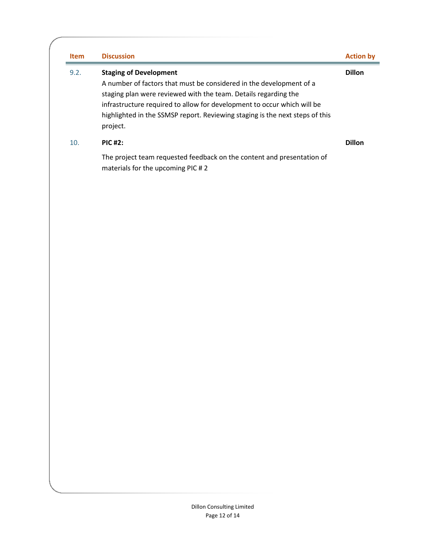| <b>Item</b> | <b>Discussion</b>                                                                                                                                                                                                                                                                                                                              | <b>Action by</b> |
|-------------|------------------------------------------------------------------------------------------------------------------------------------------------------------------------------------------------------------------------------------------------------------------------------------------------------------------------------------------------|------------------|
| 9.2.        | <b>Staging of Development</b><br>A number of factors that must be considered in the development of a<br>staging plan were reviewed with the team. Details regarding the<br>infrastructure required to allow for development to occur which will be<br>highlighted in the SSMSP report. Reviewing staging is the next steps of this<br>project. | <b>Dillon</b>    |
| 10.         | <b>PIC #2:</b>                                                                                                                                                                                                                                                                                                                                 | <b>Dillon</b>    |
|             | The project team requested feedback on the content and presentation of<br>materials for the upcoming PIC #2                                                                                                                                                                                                                                    |                  |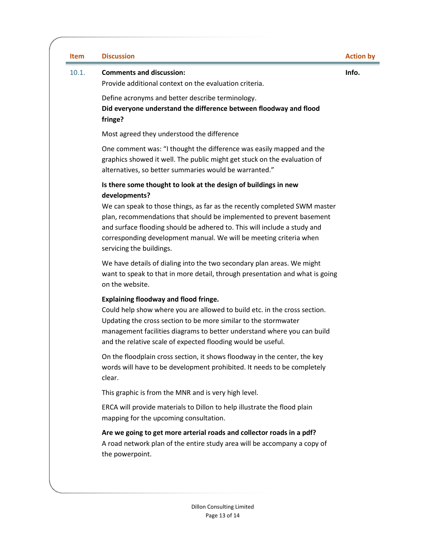| <b>Discussion</b>                                                                                                                                                                                                                                                                                                                       | <b>Action by</b> |
|-----------------------------------------------------------------------------------------------------------------------------------------------------------------------------------------------------------------------------------------------------------------------------------------------------------------------------------------|------------------|
| <b>Comments and discussion:</b><br>Provide additional context on the evaluation criteria.                                                                                                                                                                                                                                               | Info.            |
| Define acronyms and better describe terminology.<br>Did everyone understand the difference between floodway and flood<br>fringe?                                                                                                                                                                                                        |                  |
| Most agreed they understood the difference                                                                                                                                                                                                                                                                                              |                  |
| One comment was: "I thought the difference was easily mapped and the<br>graphics showed it well. The public might get stuck on the evaluation of<br>alternatives, so better summaries would be warranted."                                                                                                                              |                  |
| Is there some thought to look at the design of buildings in new                                                                                                                                                                                                                                                                         |                  |
| We can speak to those things, as far as the recently completed SWM master<br>plan, recommendations that should be implemented to prevent basement<br>and surface flooding should be adhered to. This will include a study and<br>corresponding development manual. We will be meeting criteria when<br>servicing the buildings.         |                  |
| We have details of dialing into the two secondary plan areas. We might<br>want to speak to that in more detail, through presentation and what is going<br>on the website.                                                                                                                                                               |                  |
| <b>Explaining floodway and flood fringe.</b><br>Could help show where you are allowed to build etc. in the cross section.<br>Updating the cross section to be more similar to the stormwater<br>management facilities diagrams to better understand where you can build<br>and the relative scale of expected flooding would be useful. |                  |
| On the floodplain cross section, it shows floodway in the center, the key<br>words will have to be development prohibited. It needs to be completely<br>clear.                                                                                                                                                                          |                  |
| This graphic is from the MNR and is very high level.                                                                                                                                                                                                                                                                                    |                  |
| ERCA will provide materials to Dillon to help illustrate the flood plain<br>mapping for the upcoming consultation.                                                                                                                                                                                                                      |                  |
| Are we going to get more arterial roads and collector roads in a pdf?<br>A road network plan of the entire study area will be accompany a copy of                                                                                                                                                                                       |                  |
|                                                                                                                                                                                                                                                                                                                                         | developments?    |